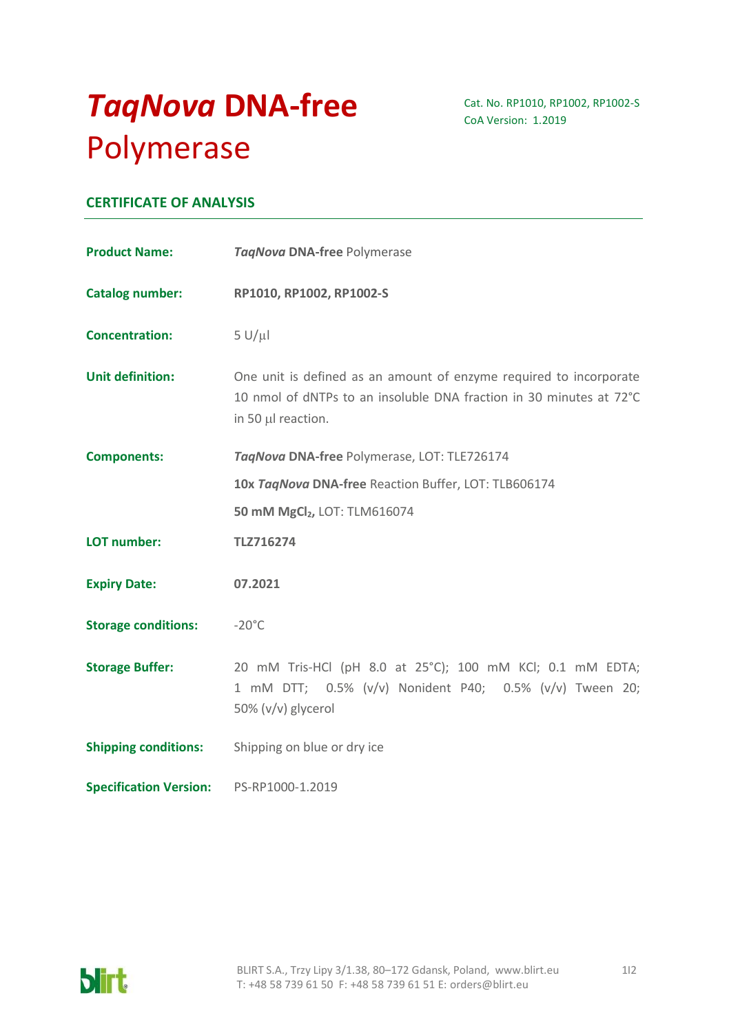# *TaqNova* **DNA-free**  Polymerase

Cat. No. RP1010, RP1002, RP1002-S CoA Version: 1.2019

# **CERTIFICATE OF ANALYSIS**

| <b>Product Name:</b>          | TagNova DNA-free Polymerase                                                                                                                                     |
|-------------------------------|-----------------------------------------------------------------------------------------------------------------------------------------------------------------|
| Catalog number:               | RP1010, RP1002, RP1002-S                                                                                                                                        |
| <b>Concentration:</b>         | $5 U/ \mu l$                                                                                                                                                    |
| <b>Unit definition:</b>       | One unit is defined as an amount of enzyme required to incorporate<br>10 nmol of dNTPs to an insoluble DNA fraction in 30 minutes at 72°C<br>in 50 µl reaction. |
| <b>Components:</b>            | TagNova DNA-free Polymerase, LOT: TLE726174                                                                                                                     |
|                               | 10x TagNova DNA-free Reaction Buffer, LOT: TLB606174                                                                                                            |
|                               | 50 mM MgCl <sub>2</sub> , LOT: TLM616074                                                                                                                        |
| LOT number:                   | TLZ716274                                                                                                                                                       |
| <b>Expiry Date:</b>           | 07.2021                                                                                                                                                         |
| <b>Storage conditions:</b>    | $-20^{\circ}$ C                                                                                                                                                 |
| <b>Storage Buffer:</b>        | 20 mM Tris-HCl (pH 8.0 at 25°C); 100 mM KCl; 0.1 mM EDTA;<br>1 mM DTT; 0.5% (v/v) Nonident P40; 0.5% (v/v) Tween 20;<br>50% (v/v) glycerol                      |
| <b>Shipping conditions:</b>   | Shipping on blue or dry ice                                                                                                                                     |
| <b>Specification Version:</b> | PS-RP1000-1.2019                                                                                                                                                |